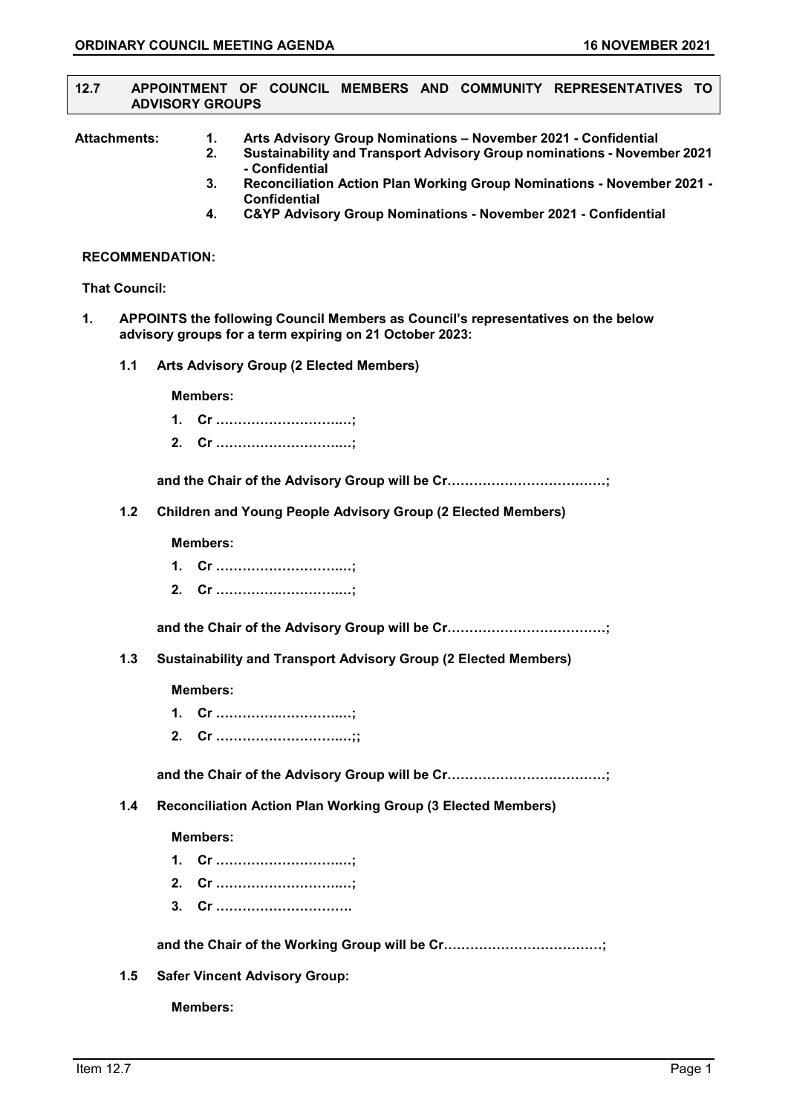#### **12.7 APPOINTMENT OF COUNCIL MEMBERS AND COMMUNITY REPRESENTATIVES TO ADVISORY GROUPS**

- **Attachments: 1. Arts Advisory Group Nominations – November 2021 - Confidential** 
	- **2. Sustainability and Transport Advisory Group nominations - November 2021 - Confidential**
	- **3. Reconciliation Action Plan Working Group Nominations - November 2021 - Confidential**
	- **4. C&YP Advisory Group Nominations - November 2021 - Confidential**

#### **RECOMMENDATION:**

#### **That Council:**

- **1. APPOINTS the following Council Members as Council's representatives on the below advisory groups for a term expiring on 21 October 2023:**
	- **1.1 Arts Advisory Group (2 Elected Members)**

**Members:**

- **1. Cr ……………………….…;**
- **2. Cr ……………………….…;**

**and the Chair of the Advisory Group will be Cr………………………………;**

**1.2 Children and Young People Advisory Group (2 Elected Members)**

### **Members:**

- **1. Cr ……………………….…;**
- **2. Cr ……………………….…;**

**and the Chair of the Advisory Group will be Cr………………………………;**

**1.3 Sustainability and Transport Advisory Group (2 Elected Members)**

### **Members:**

- **1. Cr ……………………….…;**
- **2. Cr ……………………….…;;**

**and the Chair of the Advisory Group will be Cr………………………………;**

**1.4 Reconciliation Action Plan Working Group (3 Elected Members)**

# **Members:**

- **1. Cr ……………………….…;**
- **2. Cr ……………………….…;**
- **3. Cr ………………………….**

**and the Chair of the Working Group will be Cr………………………………;**

**1.5 Safer Vincent Advisory Group:**

**Members:**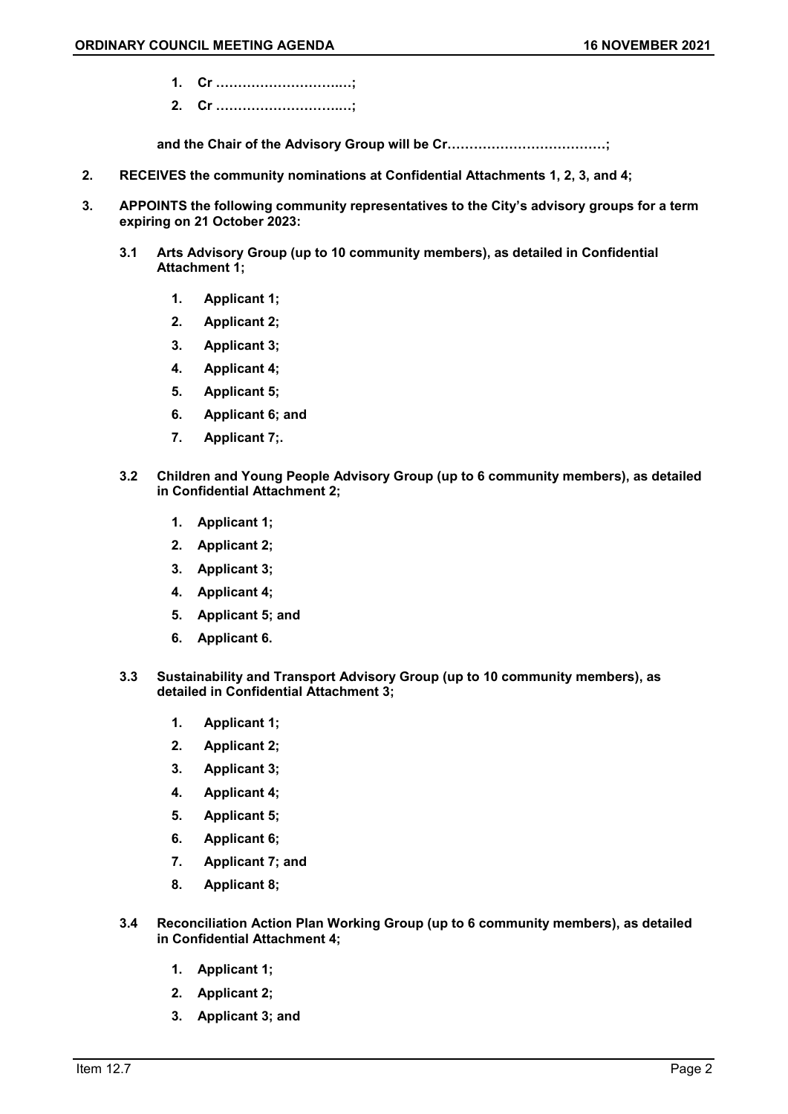- **1. Cr ……………………….…;**
- **2. Cr ……………………….…;**

**and the Chair of the Advisory Group will be Cr………………………………;**

- **2. RECEIVES the community nominations at Confidential Attachments 1, 2, 3, and 4;**
- **3. APPOINTS the following community representatives to the City's advisory groups for a term expiring on 21 October 2023:**
	- **3.1 Arts Advisory Group (up to 10 community members), as detailed in Confidential Attachment 1;**
		- **1. Applicant 1;**
		- **2. Applicant 2;**
		- **3. Applicant 3;**
		- **4. Applicant 4;**
		- **5. Applicant 5;**
		- **6. Applicant 6; and**
		- **7. Applicant 7;.**
	- **3.2 Children and Young People Advisory Group (up to 6 community members), as detailed in Confidential Attachment 2;**
		- **1. Applicant 1;**
		- **2. Applicant 2;**
		- **3. Applicant 3;**
		- **4. Applicant 4;**
		- **5. Applicant 5; and**
		- **6. Applicant 6.**
	- **3.3 Sustainability and Transport Advisory Group (up to 10 community members), as detailed in Confidential Attachment 3;**
		- **1. Applicant 1;**
		- **2. Applicant 2;**
		- **3. Applicant 3;**
		- **4. Applicant 4;**
		- **5. Applicant 5;**
		- **6. Applicant 6;**
		- **7. Applicant 7; and**
		- **8. Applicant 8;**
	- **3.4 Reconciliation Action Plan Working Group (up to 6 community members), as detailed in Confidential Attachment 4;**
		- **1. Applicant 1;**
		- **2. Applicant 2;**
		- **3. Applicant 3; and**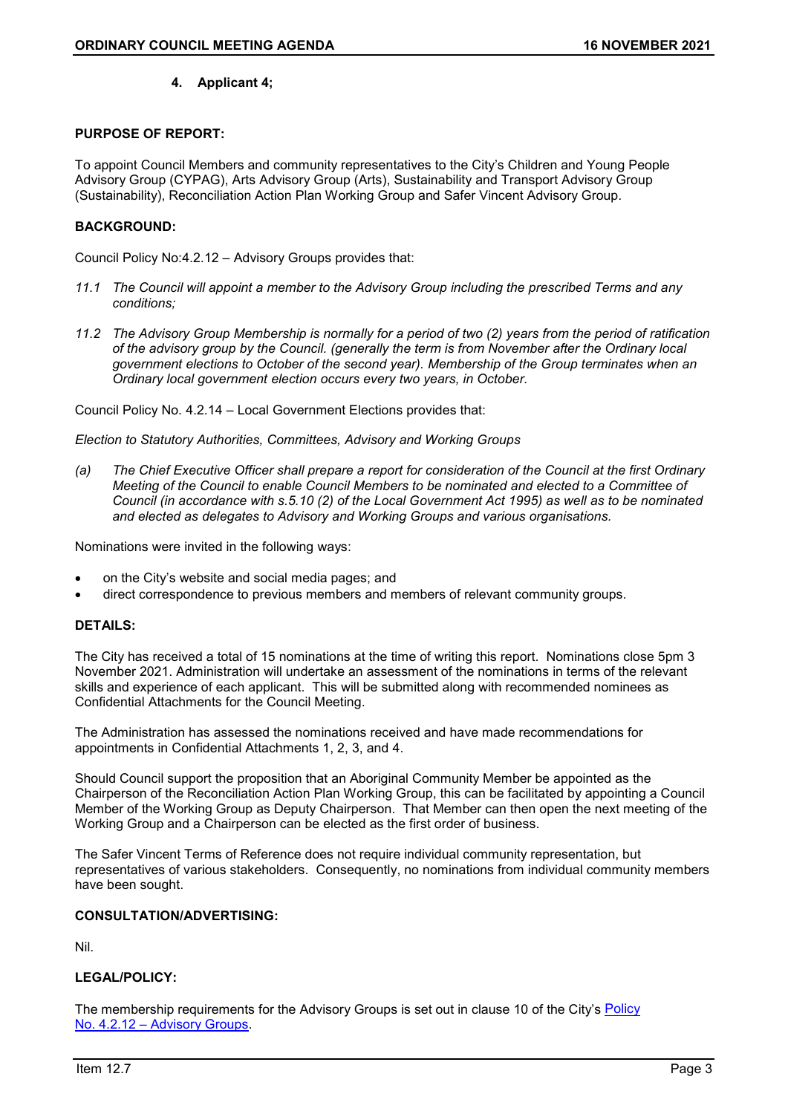# **4. Applicant 4;**

# **PURPOSE OF REPORT:**

To appoint Council Members and community representatives to the City's Children and Young People Advisory Group (CYPAG), Arts Advisory Group (Arts), Sustainability and Transport Advisory Group (Sustainability), Reconciliation Action Plan Working Group and Safer Vincent Advisory Group.

# **BACKGROUND:**

Council Policy No:4.2.12 – Advisory Groups provides that:

- *11.1 The Council will appoint a member to the Advisory Group including the prescribed Terms and any conditions;*
- *11.2 The Advisory Group Membership is normally for a period of two (2) years from the period of ratification of the advisory group by the Council. (generally the term is from November after the Ordinary local government elections to October of the second year). Membership of the Group terminates when an Ordinary local government election occurs every two years, in October.*

Council Policy No. 4.2.14 – Local Government Elections provides that:

*Election to Statutory Authorities, Committees, Advisory and Working Groups*

*(a) The Chief Executive Officer shall prepare a report for consideration of the Council at the first Ordinary Meeting of the Council to enable Council Members to be nominated and elected to a Committee of Council (in accordance with s.5.10 (2) of the Local Government Act 1995) as well as to be nominated and elected as delegates to Advisory and Working Groups and various organisations.*

Nominations were invited in the following ways:

- on the City's website and social media pages; and
- direct correspondence to previous members and members of relevant community groups.

### **DETAILS:**

The City has received a total of 15 nominations at the time of writing this report. Nominations close 5pm 3 November 2021. Administration will undertake an assessment of the nominations in terms of the relevant skills and experience of each applicant. This will be submitted along with recommended nominees as Confidential Attachments for the Council Meeting.

The Administration has assessed the nominations received and have made recommendations for appointments in Confidential Attachments 1, 2, 3, and 4.

Should Council support the proposition that an Aboriginal Community Member be appointed as the Chairperson of the Reconciliation Action Plan Working Group, this can be facilitated by appointing a Council Member of the Working Group as Deputy Chairperson. That Member can then open the next meeting of the Working Group and a Chairperson can be elected as the first order of business.

The Safer Vincent Terms of Reference does not require individual community representation, but representatives of various stakeholders. Consequently, no nominations from individual community members have been sought.

# **CONSULTATION/ADVERTISING:**

Nil.

# **LEGAL/POLICY:**

The membership requirements for the Advisory Groups is set out in clause 10 of the City's [Policy](https://www.vincent.wa.gov.au/documents/589/4212-advisory-groups) No. 4.2.12 – [Advisory Groups.](https://www.vincent.wa.gov.au/documents/589/4212-advisory-groups)